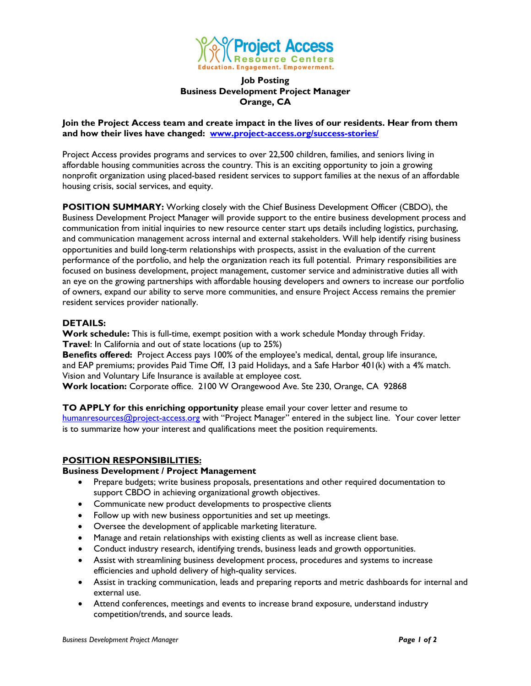

#### **Job Posting Business Development Project Manager Orange, CA**

**Join the Project Access team and create impact in the lives of our residents. Hear from them and how their lives have changed: [www.project-access.org/success-stories/](http://www.project-access.org/success-stories/)**

Project Access provides programs and services to over 22,500 children, families, and seniors living in affordable housing communities across the country. This is an exciting opportunity to join a growing nonprofit organization using placed-based resident services to support families at the nexus of an affordable housing crisis, social services, and equity.

**POSITION SUMMARY:** Working closely with the Chief Business Development Officer (CBDO), the Business Development Project Manager will provide support to the entire business development process and communication from initial inquiries to new resource center start ups details including logistics, purchasing, and communication management across internal and external stakeholders. Will help identify rising business opportunities and build long-term relationships with prospects, assist in the evaluation of the current performance of the portfolio, and help the organization reach its full potential. Primary responsibilities are focused on business development, project management, customer service and administrative duties all with an eye on the growing partnerships with affordable housing developers and owners to increase our portfolio of owners, expand our ability to serve more communities, and ensure Project Access remains the premier resident services provider nationally.

#### **DETAILS:**

**Work schedule:** This is full-time, exempt position with a work schedule Monday through Friday. **Travel**: In California and out of state locations (up to 25%)

**Benefits offered:** Project Access pays 100% of the employee's medical, dental, group life insurance, and EAP premiums; provides Paid Time Off, 13 paid Holidays, and a Safe Harbor 401(k) with a 4% match. Vision and Voluntary Life Insurance is available at employee cost.

**Work location:** Corporate office. 2100 W Orangewood Ave. Ste 230, Orange, CA 92868

**TO APPLY for this enriching opportunity** please email your cover letter and resume to [humanresources@project-access.org](mailto:humanresources@project-access.org) with "Project Manager" entered in the subject line. Your cover letter is to summarize how your interest and qualifications meet the position requirements.

# **POSITION RESPONSIBILITIES:**

## **Business Development / Project Management**

- Prepare budgets; write business proposals, presentations and other required documentation to support CBDO in achieving organizational growth objectives.
- Communicate new product developments to prospective clients
- Follow up with new business opportunities and set up meetings.
- Oversee the development of applicable marketing literature.
- Manage and retain relationships with existing clients as well as increase client base.
- Conduct industry research, identifying trends, business leads and growth opportunities.
- Assist with streamlining business development process, procedures and systems to increase efficiencies and uphold delivery of high-quality services.
- Assist in tracking communication, leads and preparing reports and metric dashboards for internal and external use.
- Attend conferences, meetings and events to increase brand exposure, understand industry competition/trends, and source leads.